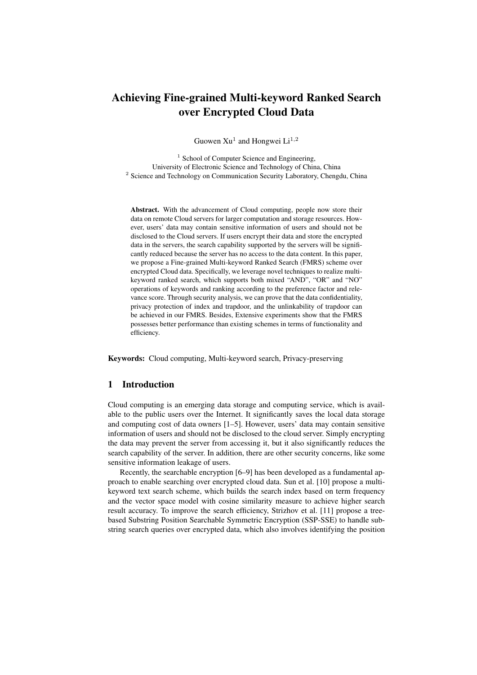# Achieving Fine-grained Multi-keyword Ranked Search over Encrypted Cloud Data

Guowen  $Xu^1$  and Hongwei  $Li^{1,2}$ 

<sup>1</sup> School of Computer Science and Engineering, University of Electronic Science and Technology of China, China <sup>2</sup> Science and Technology on Communication Security Laboratory, Chengdu, China

Abstract. With the advancement of Cloud computing, people now store their data on remote Cloud servers for larger computation and storage resources. However, users' data may contain sensitive information of users and should not be disclosed to the Cloud servers. If users encrypt their data and store the encrypted data in the servers, the search capability supported by the servers will be significantly reduced because the server has no access to the data content. In this paper, we propose a Fine-grained Multi-keyword Ranked Search (FMRS) scheme over encrypted Cloud data. Specifically, we leverage novel techniques to realize multikeyword ranked search, which supports both mixed "AND", "OR" and "NO" operations of keywords and ranking according to the preference factor and relevance score. Through security analysis, we can prove that the data confidentiality, privacy protection of index and trapdoor, and the unlinkability of trapdoor can be achieved in our FMRS. Besides, Extensive experiments show that the FMRS possesses better performance than existing schemes in terms of functionality and efficiency.

Keywords: Cloud computing, Multi-keyword search, Privacy-preserving

### 1 Introduction

Cloud computing is an emerging data storage and computing service, which is available to the public users over the Internet. It significantly saves the local data storage and computing cost of data owners [1–5]. However, users' data may contain sensitive information of users and should not be disclosed to the cloud server. Simply encrypting the data may prevent the server from accessing it, but it also significantly reduces the search capability of the server. In addition, there are other security concerns, like some sensitive information leakage of users.

Recently, the searchable encryption [6–9] has been developed as a fundamental approach to enable searching over encrypted cloud data. Sun et al. [10] propose a multikeyword text search scheme, which builds the search index based on term frequency and the vector space model with cosine similarity measure to achieve higher search result accuracy. To improve the search efficiency, Strizhov et al. [11] propose a treebased Substring Position Searchable Symmetric Encryption (SSP-SSE) to handle substring search queries over encrypted data, which also involves identifying the position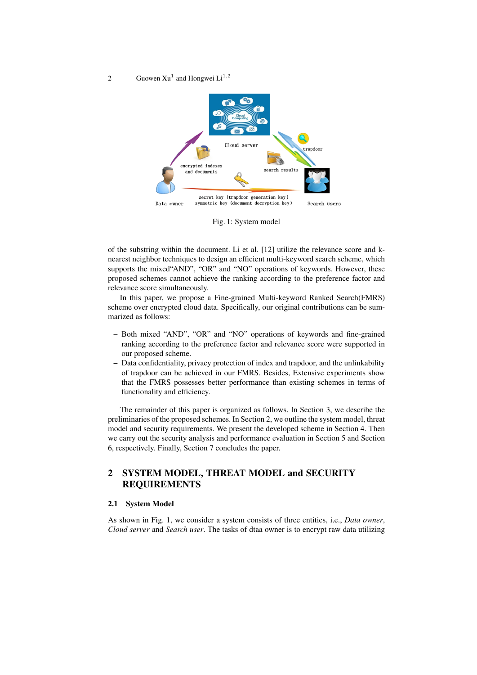#### 2 Guowen  $Xu^1$  and Hongwei  $Li^{1,2}$



Fig. 1: System model

of the substring within the document. Li et al. [12] utilize the relevance score and knearest neighbor techniques to design an efficient multi-keyword search scheme, which supports the mixed "AND", "OR" and "NO" operations of keywords. However, these proposed schemes cannot achieve the ranking according to the preference factor and relevance score simultaneously.

In this paper, we propose a Fine-grained Multi-keyword Ranked Search(FMRS) scheme over encrypted cloud data. Specifically, our original contributions can be summarized as follows:

- Both mixed "AND", "OR" and "NO" operations of keywords and fine-grained ranking according to the preference factor and relevance score were supported in our proposed scheme.
- Data confidentiality, privacy protection of index and trapdoor, and the unlinkability of trapdoor can be achieved in our FMRS. Besides, Extensive experiments show that the FMRS possesses better performance than existing schemes in terms of functionality and efficiency.

The remainder of this paper is organized as follows. In Section 3, we describe the preliminaries of the proposed schemes. In Section 2, we outline the system model, threat model and security requirements. We present the developed scheme in Section 4. Then we carry out the security analysis and performance evaluation in Section 5 and Section 6, respectively. Finally, Section 7 concludes the paper.

# 2 SYSTEM MODEL, THREAT MODEL and SECURITY REQUIREMENTS

## 2.1 System Model

As shown in Fig. 1, we consider a system consists of three entities, i.e., *Data owner*, *Cloud server* and *Search user*. The tasks of dtaa owner is to encrypt raw data utilizing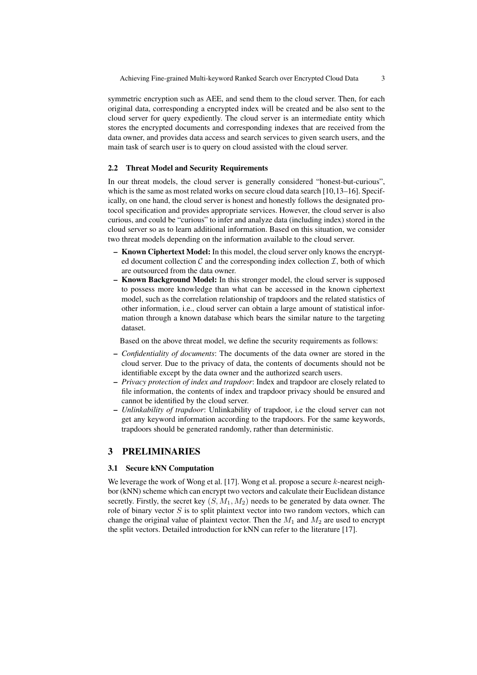symmetric encryption such as AEE, and send them to the cloud server. Then, for each original data, corresponding a encrypted index will be created and be also sent to the cloud server for query expediently. The cloud server is an intermediate entity which stores the encrypted documents and corresponding indexes that are received from the data owner, and provides data access and search services to given search users, and the main task of search user is to query on cloud assisted with the cloud server.

#### 2.2 Threat Model and Security Requirements

In our threat models, the cloud server is generally considered "honest-but-curious", which is the same as most related works on secure cloud data search [10,13–16]. Specifically, on one hand, the cloud server is honest and honestly follows the designated protocol specification and provides appropriate services. However, the cloud server is also curious, and could be "curious" to infer and analyze data (including index) stored in the cloud server so as to learn additional information. Based on this situation, we consider two threat models depending on the information available to the cloud server.

- Known Ciphertext Model: In this model, the cloud server only knows the encrypted document collection  $C$  and the corresponding index collection  $I$ , both of which are outsourced from the data owner.
- Known Background Model: In this stronger model, the cloud server is supposed to possess more knowledge than what can be accessed in the known ciphertext model, such as the correlation relationship of trapdoors and the related statistics of other information, i.e., cloud server can obtain a large amount of statistical information through a known database which bears the similar nature to the targeting dataset.

Based on the above threat model, we define the security requirements as follows:

- *Confidentiality of documents*: The documents of the data owner are stored in the cloud server. Due to the privacy of data, the contents of documents should not be identifiable except by the data owner and the authorized search users.
- *Privacy protection of index and trapdoor*: Index and trapdoor are closely related to file information, the contents of index and trapdoor privacy should be ensured and cannot be identified by the cloud server.
- *Unlinkability of trapdoor*: Unlinkability of trapdoor, i.e the cloud server can not get any keyword information according to the trapdoors. For the same keywords, trapdoors should be generated randomly, rather than deterministic.

## 3 PRELIMINARIES

## 3.1 Secure kNN Computation

We leverage the work of Wong et al. [17]. Wong et al. propose a secure *k*-nearest neighbor (kNN) scheme which can encrypt two vectors and calculate their Euclidean distance secretly. Firstly, the secret key  $(S, M_1, M_2)$  needs to be generated by data owner. The role of binary vector *S* is to split plaintext vector into two random vectors, which can change the original value of plaintext vector. Then the  $M_1$  and  $M_2$  are used to encrypt the split vectors. Detailed introduction for kNN can refer to the literature [17].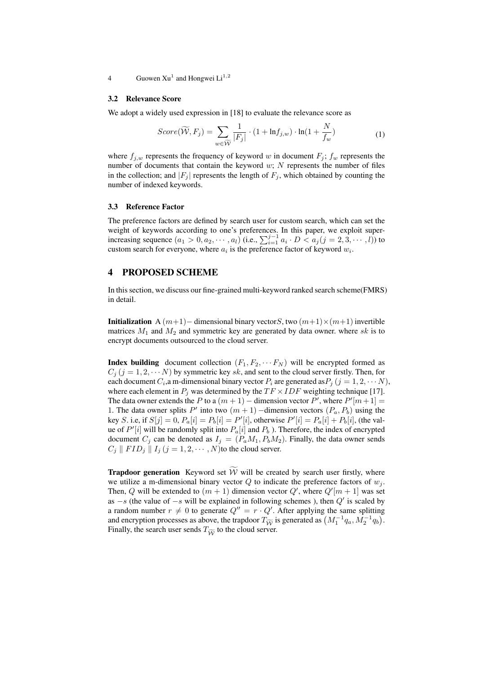4 Guowen  $Xu^1$  and Hongwei  $Li^{1,2}$ 

#### 3.2 Relevance Score

We adopt a widely used expression in [18] to evaluate the relevance score as

$$
Score(\widetilde{W}, F_j) = \sum_{w \in \widetilde{W}} \frac{1}{|F_j|} \cdot (1 + \ln f_{j,w}) \cdot \ln(1 + \frac{N}{f_w})
$$
(1)

where  $f_{j,w}$  represents the frequency of keyword *w* in document  $F_j$ ;  $f_w$  represents the number of documents that contain the keyword *w*; *N* represents the number of files in the collection; and  $|F_i|$  represents the length of  $F_i$ , which obtained by counting the number of indexed keywords.

#### 3.3 Reference Factor

The preference factors are defined by search user for custom search, which can set the weight of keywords according to one's preferences. In this paper, we exploit superincreasing sequence  $(a_1 > 0, a_2, \cdots, a_l)$  (i.e.,  $\sum_{i=1}^{j-1} a_i \cdot D < a_j (j = 2, 3, \cdots, l)$ ) to custom search for everyone, where  $a_i$  is the preference factor of keyword  $w_i$ .

### 4 PROPOSED SCHEME

In this section, we discuss our fine-grained multi-keyword ranked search scheme(FMRS) in detail.

Initialization A (*m*+1)*−* dimensional binary vector*S*, two (*m*+1)*×*(*m*+1) invertible matrices  $M_1$  and  $M_2$  and symmetric key are generated by data owner. where  $sk$  is to encrypt documents outsourced to the cloud server.

**Index building** document collection  $(F_1, F_2, \cdots F_N)$  will be encrypted formed as  $C_j$  ( $j = 1, 2, \cdots N$ ) by symmetric key *sk*, and sent to the cloud server firstly. Then, for each document  $C_i$ , a m-dimensional binary vector  $P_i$  are generated as  $P_j$   $(j = 1, 2, \cdots N)$ , where each element in  $P_i$  was determined by the  $TF \times IDF$  weighting technique [17]. The data owner extends the *P* to a  $(m + 1)$  – dimension vector *P'*, where  $P'[m+1] =$ 1. The data owner splits *P'* into two  $(m + 1)$  –dimension vectors  $(P_a, P_b)$  using the key *S*. i.e, if  $S[j] = 0$ ,  $P_a[i] = P_b[i] = P'[i]$ , otherwise  $P'[i] = P_a[i] + P_b[i]$ , (the value of *P ′* [*i*] will be randomly split into *Pa*[*i*] and *P<sup>b</sup>* ). Therefore, the index of encrypted document  $C_j$  can be denoted as  $I_j = (P_a M_1, P_b M_2)$ . Finally, the data owner sends  $C_j \parallel FID_j \parallel I_j (j = 1, 2, \cdots, N)$  to the cloud server.

**Trapdoor generation** Keyword set  $\widetilde{W}$  will be created by search user firstly, where we utilize a m-dimensional binary vector  $Q$  to indicate the preference factors of  $w_j$ . Then, Q will be extended to  $(m + 1)$  dimension vector  $Q'$ , where  $Q'[m + 1]$  was set as *−s* (the value of *−s* will be explained in following schemes ), then *Q′* is scaled by a random number  $r \neq 0$  to generate  $Q'' = r \cdot Q'$ . After applying the same splitting and encryption processes as above, the trapdoor  $T_{\widetilde{W}}$  is generated as  $(M_1^{-1}q_a, M_2^{-1}q_b)$ . Finally, the search user sends  $T_{\widetilde{W}}$  to the cloud server.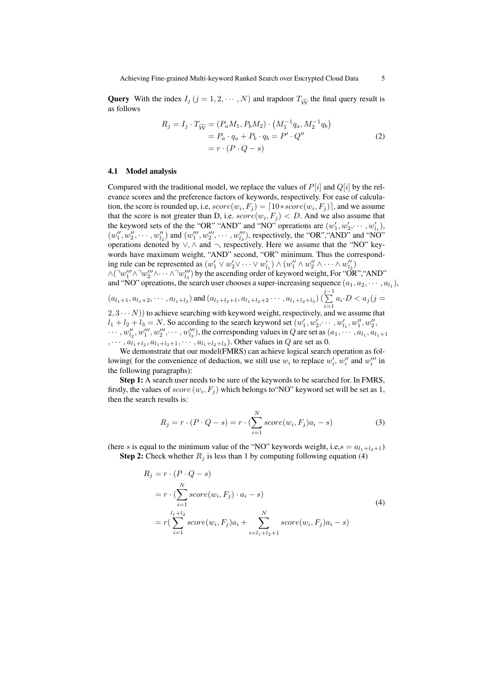**Query** With the index  $I_j$  ( $j = 1, 2, \dots, N$ ) and trapdoor  $T_{\widetilde{W}}$  the final query result is as follows

$$
R_j = I_j \cdot T_{\widetilde{W}} = (P_a M_1, P_b M_2) \cdot (M_1^{-1} q_a, M_2^{-1} q_b) = P_a \cdot q_a + P_b \cdot q_b = P' \cdot Q'' = r \cdot (P \cdot Q - s)
$$
 (2)

#### 4.1 Model analysis

Compared with the traditional model, we replace the values of *P*[*i*] and *Q*[*i*] by the relevance scores and the preference factors of keywords, respectively. For ease of calculation, the score is rounded up, i.e,  $score(w_i, F_j) = \lceil 10 * score(w_i, F_j) \rceil$ , and we assume that the score is not greater than D, i.e.  $score(w_i, F_j) < D$ . And we also assume that the keyword sets of the the "OR" "AND" and "NO" opreations are  $(w'_1, w'_2, \dots, w'_{l_1})$ ,  $(w''_1, w''_2, \cdots, w''_{l_2})$  and  $(w'''_1, w'''_2, \cdots, w'''_{l_3})$ , respectively, the "OR", "AND" and "NO" operations denoted by *∨, ∧* and *¬*, respectively. Here we assume that the "NO" keywords have maximum weight, "AND" second, "OR" minimum. Thus the corresponding rule can be represented as  $(w'_1 \vee w'_2 \vee \cdots \vee w'_{l_1}) \wedge (w''_1 \wedge w''_2 \wedge \cdots \wedge w''_{l_2})$ *∧*( $\lceil w''_1 \wedge \lceil w''_2 \wedge \cdots \wedge \lceil w''_3 \rceil$ ) by the ascending order of keyword weight, For "OR", "AND"

and "NO" opreations, the search user chooses a super-increasing sequence  $(a_1, a_2, \dots, a_{l_1})$ ,

$$
(a_{l_1+1}, a_{l_1+2}, \cdots, a_{l_1+l_2}) \text{ and } (a_{l_1+l_2+1}, a_{l_1+l_2+2} \cdots, a_{l_1+l_2+l_3}) \left(\sum_{i=1}^{j-1} a_i \cdot D < a_j\right)
$$

 $(2, 3 \cdots N)$  to achieve searching with keyword weight, respectively, and we assume that  $l_1 + l_2 + l_3 = N$ . So according to the search keyword set  $(w'_1, w'_2, \dots, w'_{l_1}, w''_1, w''_2, \dots, w'_{l_2})$  $\cdots$ ,  $w''_{l_2}, w'''_1, w'''_2, \cdots, w'''_{l_3}$ , the corresponding values in Q are set as  $(a_1, \cdots, a_{l_1}, a_{l_1+1})$  $, \cdots, a_{l_1+l_2}, a_{l_1+l_2+1}, \cdots, a_{l_1+l_2+l_3}$ . Other values in *Q* are set as 0.

We demonstrate that our model(FMRS) can achieve logical search operation as following( for the convenience of deduction, we still use  $w_i$  to replace  $w'_i$ ,  $w''_i$  and  $w'''_i$  in the following paragraphs):

Step 1: A search user needs to be sure of the keywords to be searched for. In FMRS, firstly, the values of  $score\left(w_i, F_j\right)$  which belongs to 'NO'' keyword set will be set as 1, then the search results is:

$$
R_j = r \cdot (P \cdot Q - s) = r \cdot (\sum_{i=1}^{N} score(w_i, F_j)a_i - s)
$$
\n(3)

(here *s* is equal to the minimum value of the "NO" keywords weight, i.e, $s = a_{l_1+l_2+1}$ ) **Step 2:** Check whether  $R_i$  is less than 1 by computing following equation (4)

$$
R_j = r \cdot (P \cdot Q - s)
$$
  
=  $r \cdot (\sum_{i=1}^{N} score(w_i, F_j) \cdot a_i - s)$   
=  $r(\sum_{i=1}^{l_1+l_2} score(w_i, F_j)a_i + \sum_{i=l_1+l_2+1}^{N} score(w_i, F_j)a_i - s)$  (4)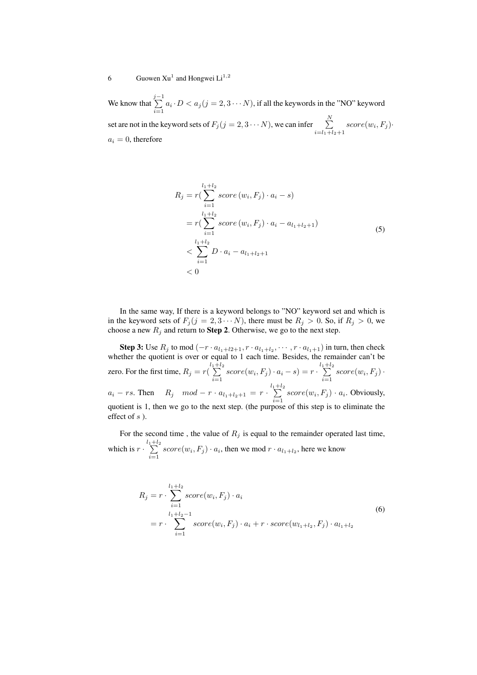We know that *j* ∑*−*1  $\sum_{i=1}^{\infty} a_i \cdot D < a_j (j = 2, 3 \cdots N)$ , if all the keywords in the "NO" keyword set are not in the keyword sets of  $F_j$  ( $j = 2, 3 \cdots N$ ), we can infer  $\sum_{j=1}^{N}$  $i = l_1 + l_2 + 1$  $score(w_i, F_j)$ *·*  $a_i = 0$ , therefore

$$
R_{j} = r\left(\sum_{i=1}^{l_{1}+l_{2}} score(w_{i}, F_{j}) \cdot a_{i} - s\right)
$$
  
=  $r\left(\sum_{i=1}^{l_{1}+l_{2}} score(w_{i}, F_{j}) \cdot a_{i} - a_{l_{1}+l_{2}+1}\right)$   
<  $\sum_{i=1}^{l_{1}+l_{2}} D \cdot a_{i} - a_{l_{1}+l_{2}+1}$  (5)  
< 0

In the same way, If there is a keyword belongs to "NO" keyword set and which is in the keyword sets of  $F_i$  ( $j = 2, 3 \cdots N$ ), there must be  $R_i > 0$ . So, if  $R_i > 0$ , we choose a new  $R_j$  and return to **Step 2**. Otherwise, we go to the next step.

Step 3: Use  $R_j$  to mod  $(-r \cdot a_{l_1+l_2+1}, r \cdot a_{l_1+l_2}, \cdots, r \cdot a_{l_1+1})$  in turn, then check whether the quotient is over or equal to 1 each time. Besides, the remainder can't be zero. For the first time,  $R_j = r(\sum_{i=1}^{l_1+l_2}$  $\sum_{i=1}^{1+l_2} score(w_i, F_j) \cdot a_i - s) = r \cdot \sum_{i=1}^{l_1+l_2}$  $\sum_{i=1}$  score $(w_i, F_j)$ .  $a_i - rs$ . Then  $R_j \mod -r \cdot a_{l_1+l_2+1} = r \cdot \sum_{i=1}^{l_1+l_2}$  $\sum_{i=1}$  score $(w_i, F_j) \cdot a_i$ . Obviously, quotient is 1, then we go to the next step. (the purpose of this step is to eliminate the effect of *s* ).

For the second time , the value of *R<sup>j</sup>* is equal to the remainder operated last time, which is  $r \cdot \sum_{i=1}^{l_1+l_2}$  $\sum_{i=1}$  score $(w_i, F_j) \cdot a_i$ , then we mod  $r \cdot a_{l_1+l_2}$ , here we know

$$
R_j = r \cdot \sum_{i=1}^{l_1 + l_2} score(w_i, F_j) \cdot a_i
$$
  
= 
$$
r \cdot \sum_{i=1}^{l_1 + l_2 - 1} score(w_i, F_j) \cdot a_i + r \cdot score(w_{l_1 + l_2}, F_j) \cdot a_{l_1 + l_2}
$$
 (6)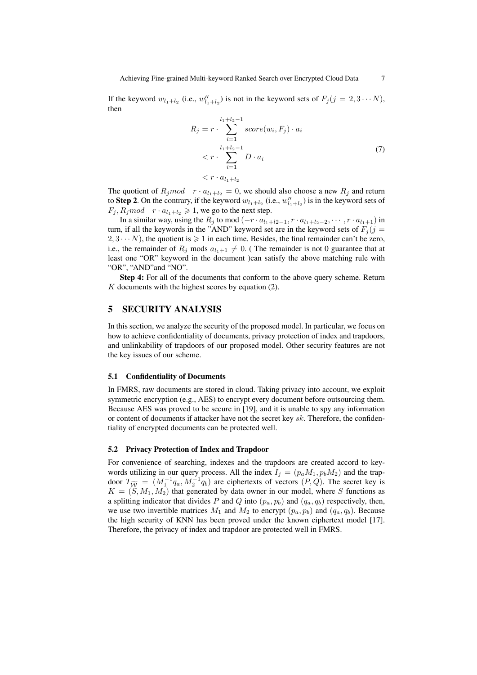If the keyword  $w_{l_1+l_2}$  (i.e.,  $w''_{l_1+l_2}$ ) is not in the keyword sets of  $F_j$  ( $j = 2, 3 \cdots N$ ), then

$$
R_{j} = r \cdot \sum_{i=1}^{l_{1}+l_{2}-1} score(w_{i}, F_{j}) \cdot a_{i}
$$
  

$$
< r \cdot \sum_{i=1}^{l_{1}+l_{2}-1} D \cdot a_{i}
$$
  

$$
< r \cdot a_{l_{1}+l_{2}}
$$
 (7)

The quotient of  $R_j$ *mod*  $r \cdot a_{l_1+l_2} = 0$ , we should also choose a new  $R_j$  and return to **Step 2**. On the contrary, if the keyword  $w_{l_1+l_2}$  (i.e.,  $w''_{l_1+l_2}$ ) is in the keyword sets of  $F_j$ ,  $R_j$ *mod*  $r \cdot a_{l_1+l_2} \geq 1$ , we go to the next step.

In a similar way, using the  $R_j$  to mod  $(-r \cdot a_{l_1+l_2-1}, r \cdot a_{l_1+l_2-2}, \dots, r \cdot a_{l_1+1})$  in turn, if all the keywords in the "AND" keyword set are in the keyword sets of  $F_i(j =$  $2, 3 \cdots N$ , the quotient is  $\geq 1$  in each time. Besides, the final remainder can't be zero, i.e., the remainder of  $R_i$  mods  $a_{i+1} \neq 0$ . (The remainder is not 0 guarantee that at least one "OR" keyword in the document )can satisfy the above matching rule with "OR", "AND"and "NO".

Step 4: For all of the documents that conform to the above query scheme. Return *K* documents with the highest scores by equation (2).

## 5 SECURITY ANALYSIS

In this section, we analyze the security of the proposed model. In particular, we focus on how to achieve confidentiality of documents, privacy protection of index and trapdoors, and unlinkability of trapdoors of our proposed model. Other security features are not the key issues of our scheme.

#### 5.1 Confidentiality of Documents

In FMRS, raw documents are stored in cloud. Taking privacy into account, we exploit symmetric encryption (e.g., AES) to encrypt every document before outsourcing them. Because AES was proved to be secure in [19], and it is unable to spy any information or content of documents if attacker have not the secret key *sk*. Therefore, the confidentiality of encrypted documents can be protected well.

#### 5.2 Privacy Protection of Index and Trapdoor

For convenience of searching, indexes and the trapdoors are created accord to keywords utilizing in our query process. All the index  $I_j = (p_a M_1, p_b M_2)$  and the trapdoor  $T_{\widetilde{W}} = (M_1^{-1}q_a, M_2^{-1}q_b)$  are ciphertexts of vectors  $(P, Q)$ . The secret key is  $K = (S, M_1, M_2)$  that generated by data owner in our model, where *S* functions as a splitting indicator that divides P and Q into  $(p_a, p_b)$  and  $(q_a, q_b)$  respectively, then, we use two invertible matrices  $M_1$  and  $M_2$  to encrypt  $(p_a, p_b)$  and  $(q_a, q_b)$ . Because the high security of KNN has been proved under the known ciphertext model [17]. Therefore, the privacy of index and trapdoor are protected well in FMRS.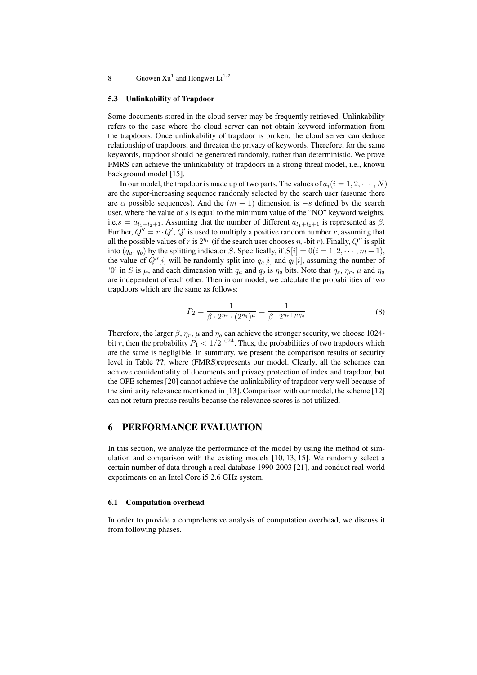#### 8 Guowen  $Xu^1$  and Hongwei  $Li^{1,2}$

#### 5.3 Unlinkability of Trapdoor

Some documents stored in the cloud server may be frequently retrieved. Unlinkability refers to the case where the cloud server can not obtain keyword information from the trapdoors. Once unlinkability of trapdoor is broken, the cloud server can deduce relationship of trapdoors, and threaten the privacy of keywords. Therefore, for the same keywords, trapdoor should be generated randomly, rather than deterministic. We prove FMRS can achieve the unlinkability of trapdoors in a strong threat model, i.e., known background model [15].

In our model, the trapdoor is made up of two parts. The values of  $a_i(i = 1, 2, \dots, N)$ are the super-increasing sequence randomly selected by the search user (assume there are  $\alpha$  possible sequences). And the  $(m + 1)$  dimension is  $-s$  defined by the search user, where the value of *s* is equal to the minimum value of the "NO" keyword weights. i.e, $s = a_{l_1+l_2+1}$ . Assuming that the number of different  $a_{l_1+l_2+1}$  is represented as  $\beta$ . Further,  $Q'' = r \cdot Q'$ ,  $Q'$  is used to multiply a positive random number *r*, assuming that all the possible values of *r* is  $2^{\eta_r}$  (if the search user chooses  $\eta_r$ -bit *r*). Finally,  $Q''$  is split into  $(q_a, q_b)$  by the splitting indicator *S*. Specifically, if  $S[i] = 0(i = 1, 2, \dots, m + 1)$ , the value of  $Q''[i]$  will be randomly split into  $q_a[i]$  and  $q_b[i]$ , assuming the number of '0' in *S* is  $\mu$ , and each dimension with  $q_a$  and  $q_b$  is  $\eta_q$  bits. Note that  $\eta_s$ ,  $\eta_r$ ,  $\mu$  and  $\eta_q$ are independent of each other. Then in our model, we calculate the probabilities of two trapdoors which are the same as follows:

$$
P_2 = \frac{1}{\beta \cdot 2^{\eta_r} \cdot (2^{\eta_q})^{\mu}} = \frac{1}{\beta \cdot 2^{\eta_r + \mu \eta_q}}
$$
(8)

Therefore, the larger  $\beta$ ,  $\eta_r$ ,  $\mu$  and  $\eta_q$  can achieve the stronger security, we choose 1024bit *r*, then the probability  $P_1 < 1/2^{1024}$ . Thus, the probabilities of two trapdoors which are the same is negligible. In summary, we present the comparison results of security level in Table ??, where (FMRS)represents our model. Clearly, all the schemes can achieve confidentiality of documents and privacy protection of index and trapdoor, but the OPE schemes [20] cannot achieve the unlinkability of trapdoor very well because of the similarity relevance mentioned in [13]. Comparison with our model, the scheme [12] can not return precise results because the relevance scores is not utilized.

## 6 PERFORMANCE EVALUATION

In this section, we analyze the performance of the model by using the method of simulation and comparison with the existing models  $[10, 13, 15]$ . We randomly select a certain number of data through a real database 1990-2003 [21], and conduct real-world experiments on an Intel Core i5 2.6 GHz system.

#### 6.1 Computation overhead

In order to provide a comprehensive analysis of computation overhead, we discuss it from following phases.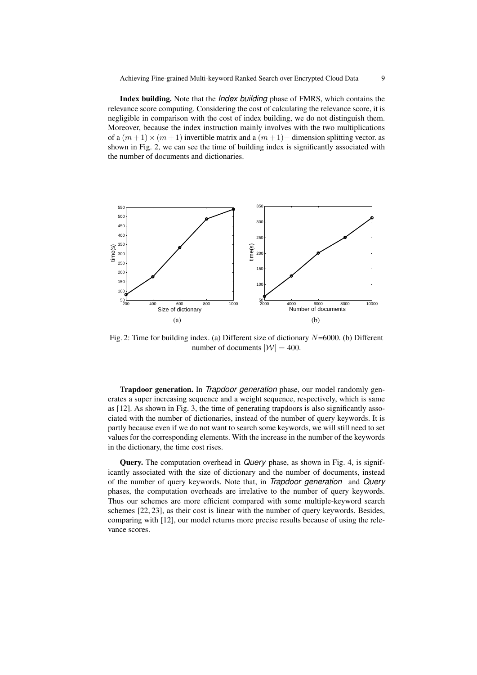Index building. Note that the *Index building* phase of FMRS, which contains the relevance score computing. Considering the cost of calculating the relevance score, it is negligible in comparison with the cost of index building, we do not distinguish them. Moreover, because the index instruction mainly involves with the two multiplications of a  $(m+1) \times (m+1)$  invertible matrix and a  $(m+1)$ − dimension splitting vector. as shown in Fig. 2, we can see the time of building index is significantly associated with the number of documents and dictionaries.



Fig. 2: Time for building index. (a) Different size of dictionary *N*=6000. (b) Different number of documents  $|W| = 400$ .

Trapdoor generation. In *Trapdoor generation* phase, our model randomly generates a super increasing sequence and a weight sequence, respectively, which is same as [12]. As shown in Fig. 3, the time of generating trapdoors is also significantly associated with the number of dictionaries, instead of the number of query keywords. It is partly because even if we do not want to search some keywords, we will still need to set values for the corresponding elements. With the increase in the number of the keywords in the dictionary, the time cost rises.

Query. The computation overhead in *Query* phase, as shown in Fig. 4, is significantly associated with the size of dictionary and the number of documents, instead of the number of query keywords. Note that, in *Trapdoor generation* and *Query* phases, the computation overheads are irrelative to the number of query keywords. Thus our schemes are more efficient compared with some multiple-keyword search schemes [22, 23], as their cost is linear with the number of query keywords. Besides, comparing with [12], our model returns more precise results because of using the relevance scores.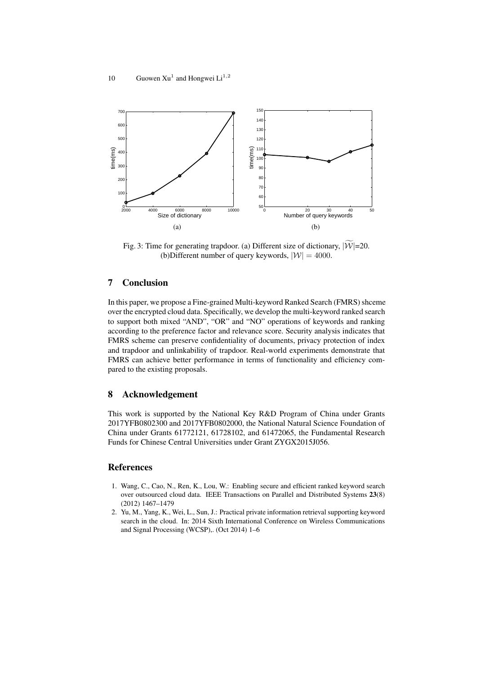

Fig. 3: Time for generating trapdoor. (a) Different size of dictionary,  $|\widetilde{W}|$ =20. (b)Different number of query keywords,  $|W| = 4000$ .

## 7 Conclusion

In this paper, we propose a Fine-grained Multi-keyword Ranked Search (FMRS) shceme over the encrypted cloud data. Specifically, we develop the multi-keyword ranked search to support both mixed "AND", "OR" and "NO" operations of keywords and ranking according to the preference factor and relevance score. Security analysis indicates that FMRS scheme can preserve confidentiality of documents, privacy protection of index and trapdoor and unlinkability of trapdoor. Real-world experiments demonstrate that FMRS can achieve better performance in terms of functionality and efficiency compared to the existing proposals.

## 8 Acknowledgement

This work is supported by the National Key R&D Program of China under Grants 2017YFB0802300 and 2017YFB0802000, the National Natural Science Foundation of China under Grants 61772121, 61728102, and 61472065, the Fundamental Research Funds for Chinese Central Universities under Grant ZYGX2015J056.

## References

- 1. Wang, C., Cao, N., Ren, K., Lou, W.: Enabling secure and efficient ranked keyword search over outsourced cloud data. IEEE Transactions on Parallel and Distributed Systems 23(8) (2012) 1467–1479
- 2. Yu, M., Yang, K., Wei, L., Sun, J.: Practical private information retrieval supporting keyword search in the cloud. In: 2014 Sixth International Conference on Wireless Communications and Signal Processing (WCSP),. (Oct 2014) 1–6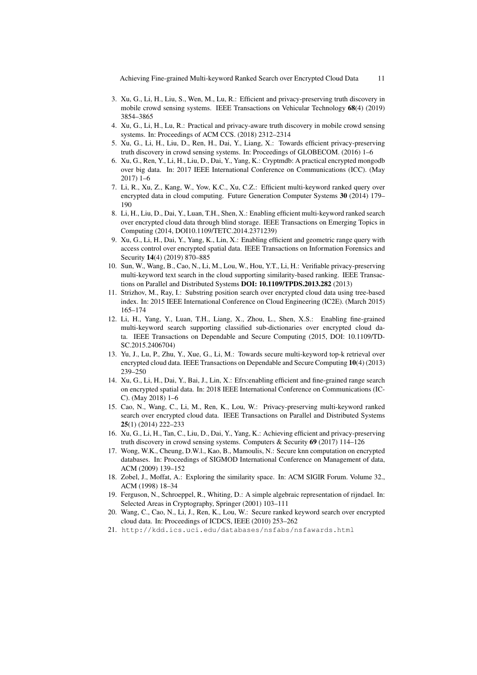Achieving Fine-grained Multi-keyword Ranked Search over Encrypted Cloud Data 11

- 3. Xu, G., Li, H., Liu, S., Wen, M., Lu, R.: Efficient and privacy-preserving truth discovery in mobile crowd sensing systems. IEEE Transactions on Vehicular Technology 68(4) (2019) 3854–3865
- 4. Xu, G., Li, H., Lu, R.: Practical and privacy-aware truth discovery in mobile crowd sensing systems. In: Proceedings of ACM CCS. (2018) 2312–2314
- 5. Xu, G., Li, H., Liu, D., Ren, H., Dai, Y., Liang, X.: Towards efficient privacy-preserving truth discovery in crowd sensing systems. In: Proceedings of GLOBECOM. (2016) 1–6
- 6. Xu, G., Ren, Y., Li, H., Liu, D., Dai, Y., Yang, K.: Cryptmdb: A practical encrypted mongodb over big data. In: 2017 IEEE International Conference on Communications (ICC). (May 2017) 1–6
- 7. Li, R., Xu, Z., Kang, W., Yow, K.C., Xu, C.Z.: Efficient multi-keyword ranked query over encrypted data in cloud computing. Future Generation Computer Systems 30 (2014) 179– 190
- 8. Li, H., Liu, D., Dai, Y., Luan, T.H., Shen, X.: Enabling efficient multi-keyword ranked search over encrypted cloud data through blind storage. IEEE Transactions on Emerging Topics in Computing (2014, DOI10.1109/TETC.2014.2371239)
- 9. Xu, G., Li, H., Dai, Y., Yang, K., Lin, X.: Enabling efficient and geometric range query with access control over encrypted spatial data. IEEE Transactions on Information Forensics and Security 14(4) (2019) 870–885
- 10. Sun, W., Wang, B., Cao, N., Li, M., Lou, W., Hou, Y.T., Li, H.: Verifiable privacy-preserving multi-keyword text search in the cloud supporting similarity-based ranking. IEEE Transactions on Parallel and Distributed Systems DOI: 10.1109/TPDS.2013.282 (2013)
- 11. Strizhov, M., Ray, I.: Substring position search over encrypted cloud data using tree-based index. In: 2015 IEEE International Conference on Cloud Engineering (IC2E). (March 2015) 165–174
- 12. Li, H., Yang, Y., Luan, T.H., Liang, X., Zhou, L., Shen, X.S.: Enabling fine-grained multi-keyword search supporting classified sub-dictionaries over encrypted cloud data. IEEE Transactions on Dependable and Secure Computing (2015, DOI: 10.1109/TD-SC.2015.2406704)
- 13. Yu, J., Lu, P., Zhu, Y., Xue, G., Li, M.: Towards secure multi-keyword top-k retrieval over encrypted cloud data. IEEE Transactions on Dependable and Secure Computing 10(4) (2013) 239–250
- 14. Xu, G., Li, H., Dai, Y., Bai, J., Lin, X.: Efrs:enabling efficient and fine-grained range search on encrypted spatial data. In: 2018 IEEE International Conference on Communications (IC-C). (May 2018) 1–6
- 15. Cao, N., Wang, C., Li, M., Ren, K., Lou, W.: Privacy-preserving multi-keyword ranked search over encrypted cloud data. IEEE Transactions on Parallel and Distributed Systems 25(1) (2014) 222–233
- 16. Xu, G., Li, H., Tan, C., Liu, D., Dai, Y., Yang, K.: Achieving efficient and privacy-preserving truth discovery in crowd sensing systems. Computers & Security 69 (2017) 114–126
- 17. Wong, W.K., Cheung, D.W.l., Kao, B., Mamoulis, N.: Secure knn computation on encrypted databases. In: Proceedings of SIGMOD International Conference on Management of data, ACM (2009) 139–152
- 18. Zobel, J., Moffat, A.: Exploring the similarity space. In: ACM SIGIR Forum. Volume 32., ACM (1998) 18–34
- 19. Ferguson, N., Schroeppel, R., Whiting, D.: A simple algebraic representation of rijndael. In: Selected Areas in Cryptography, Springer (2001) 103–111
- 20. Wang, C., Cao, N., Li, J., Ren, K., Lou, W.: Secure ranked keyword search over encrypted cloud data. In: Proceedings of ICDCS, IEEE (2010) 253–262
- 21. http://kdd.ics.uci.edu/databases/nsfabs/nsfawards.html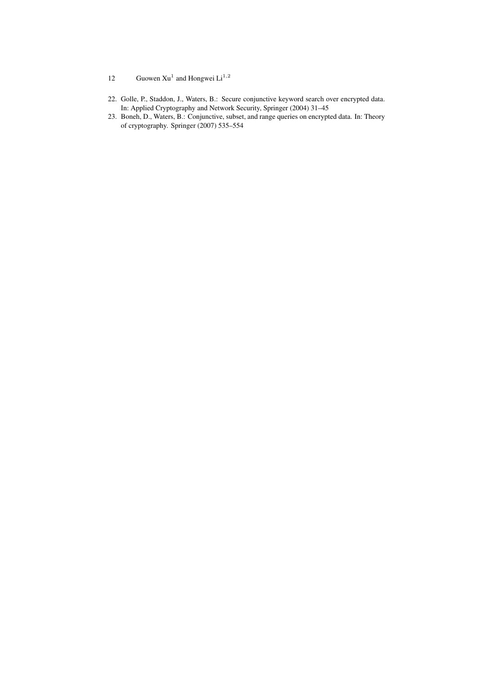- 12 Guowen Xu<sup>1</sup> and Hongwei  $Li^{1,2}$
- 22. Golle, P., Staddon, J., Waters, B.: Secure conjunctive keyword search over encrypted data. In: Applied Cryptography and Network Security, Springer (2004) 31–45
- 23. Boneh, D., Waters, B.: Conjunctive, subset, and range queries on encrypted data. In: Theory of cryptography. Springer (2007) 535–554